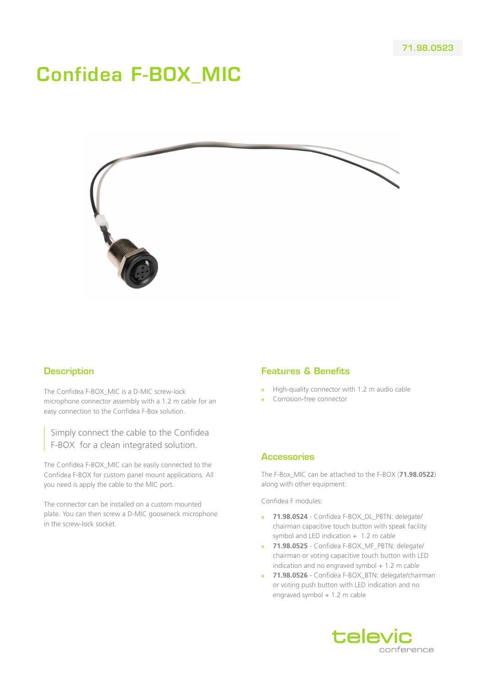# Confidea F-BOX\_MIC



## **Description**

The Confidea F-BOX\_MIC is a D-MIC screw-lock microphone connector assembly with a 1.2 m cable for an easy connection to the Confidea F-Box solution.

Simply connect the cable to the Confidea F-BOX for a clean integrated solution.

The Confidea F-BOX\_MIC can be easily connected to the Confidea F-BOX for custom panel mount applications. All you need is apply the cable to the MIC port.

The connector can be installed on a custom mounted plate. You can then screw a D-MIC gooseneck microphone in the screw-lock socket.

## Features & Benefits

- **»** High-quality connector with 1.2 m audio cable
- **»** Corrosion-free connector

#### **Accessories**

The F-Box\_MIC can be attached to the F-BOX (**71.98.0522**) along with other equipment:

Confidea F modules:

- **» 71.98.0524** Confidea F-BOX\_DL\_PBTN: delegate/ chairman capacitive touch button with speak facility symbol and LED indication  $+$  1.2 m cable
- **» 71.98.0525** Confidea F-BOX\_MF\_PBTN: delegate/ chairman or voting capacitive touch button with LED indication and no engraved symbol  $+ 1.2$  m cable
- **» 71.98.0526** Confidea F-BOX\_BTN: delegate/chairman or voting push button with LED indication and no engraved symbol + 1.2 m cable